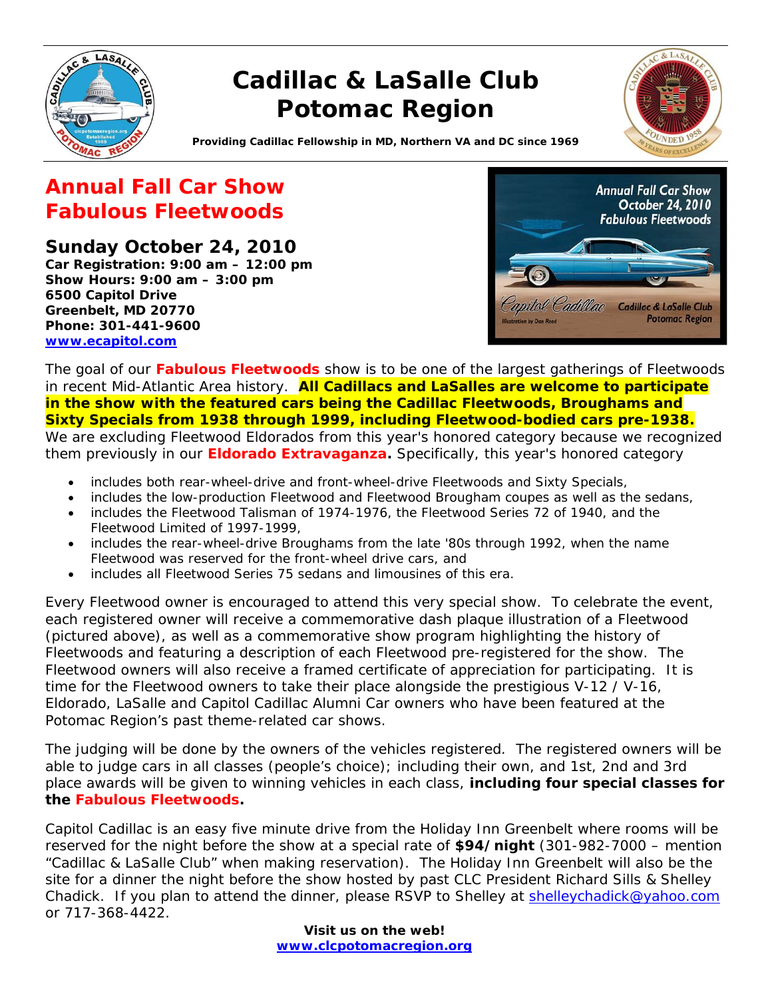



*Providing Cadillac Fellowship in MD, Northern VA and DC since 1969* 

## *Annual Fall Car Show Fabulous Fleetwoods*

*Sunday October 24, 2010 Car Registration: 9:00 am – 12:00 pm Show Hours: 9:00 am – 3:00 pm 6500 Capitol Drive Greenbelt, MD 20770 Phone: 301-441-9600 www.ecapitol.com*



The goal of our *Fabulous Fleetwoods* show is to be one of the largest gatherings of Fleetwoods in recent Mid-Atlantic Area history. **All Cadillacs and LaSalles are welcome to participate in the show with the featured cars being the Cadillac Fleetwoods, Broughams and Sixty Specials from 1938 through 1999, including Fleetwood-bodied cars pre-1938.** 

We are excluding Fleetwood Eldorados from this year's honored category because we recognized them previously in our *Eldorado Extravaganza***.** Specifically, this year's honored category

- includes both rear-wheel-drive and front-wheel-drive Fleetwoods and Sixty Specials,
- includes the low-production Fleetwood and Fleetwood Brougham coupes as well as the sedans,
- includes the Fleetwood Talisman of 1974-1976, the Fleetwood Series 72 of 1940, and the Fleetwood Limited of 1997-1999,
- includes the rear-wheel-drive Broughams from the late '80s through 1992, when the name Fleetwood was reserved for the front-wheel drive cars, and
- includes all Fleetwood Series 75 sedans and limousines of this era.

Every Fleetwood owner is encouraged to attend this very special show. To celebrate the event, each registered owner will receive a commemorative dash plaque illustration of a Fleetwood (pictured above), as well as a commemorative show program highlighting the history of Fleetwoods and featuring a description of each Fleetwood pre-registered for the show. The Fleetwood owners will also receive a framed certificate of appreciation for participating. It is time for the Fleetwood owners to take their place alongside the prestigious V-12 / V-16, Eldorado, LaSalle and Capitol Cadillac Alumni Car owners who have been featured at the Potomac Region's past theme-related car shows.

The judging will be done by the owners of the vehicles registered. The registered owners will be able to judge cars in all classes (people's choice); including their own, and 1st, 2nd and 3rd place awards will be given to winning vehicles in each class, **including four special classes for the** *Fabulous Fleetwoods***.** 

Capitol Cadillac is an easy five minute drive from the Holiday Inn Greenbelt where rooms will be reserved for the night before the show at a special rate of **\$94/night** (301-982-7000 – mention "Cadillac & LaSalle Club" when making reservation). The Holiday Inn Greenbelt will also be the site for a dinner the night before the show hosted by past CLC President Richard Sills & Shelley Chadick. If you plan to attend the dinner, please RSVP to Shelley at shelleychadick@yahoo.com or 717-368-4422.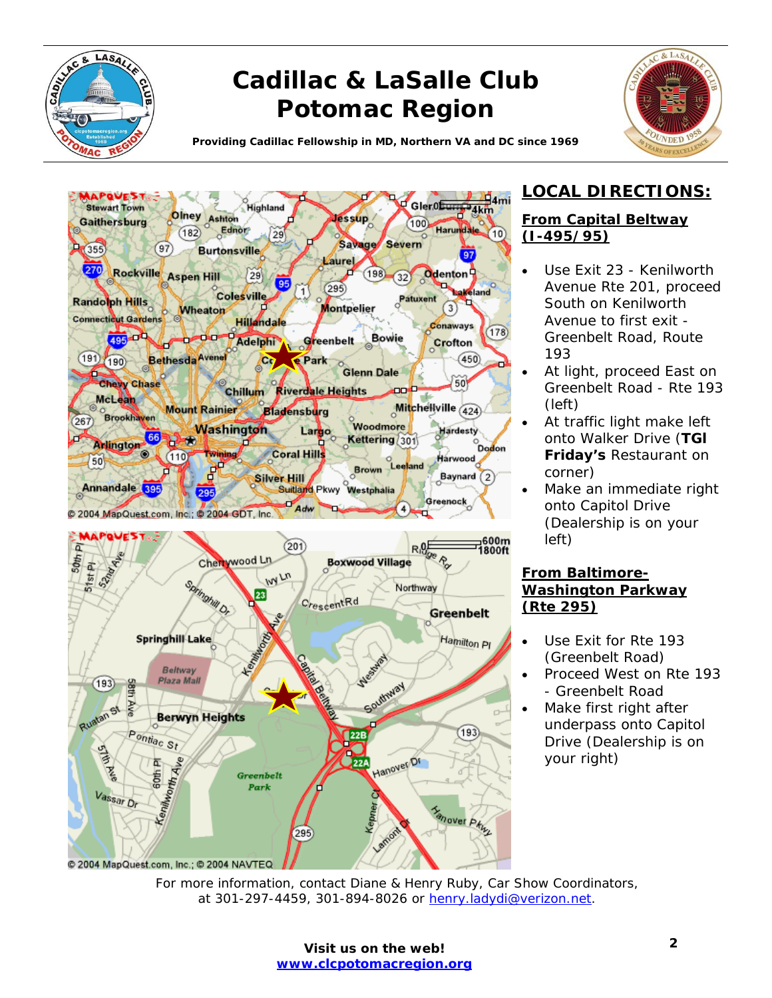

*Providing Cadillac Fellowship in MD, Northern VA and DC since 1969*







### **LOCAL DIRECTIONS:**

#### **From Capital Beltway (I-495/95)**

- Use Exit 23 Kenilworth Avenue Rte 201, proceed South on Kenilworth Avenue to first exit - Greenbelt Road, Route 193
- At light, proceed East on Greenbelt Road - Rte 193 (left)
- At traffic light make left onto Walker Drive (*TGl Friday's* Restaurant on corner)
- Make an immediate right onto Capitol Drive (Dealership is on your left)

#### **From Baltimore-Washington Parkway (Rte 295)**

- Use Exit for Rte 193 (Greenbelt Road)
- Proceed West on Rte 193 - Greenbelt Road
- Make first right after underpass onto Capitol Drive (Dealership is on your right)

For more information, contact Diane & Henry Ruby, Car Show Coordinators, at 301-297-4459, 301-894-8026 or henry.ladydi@verizon.net.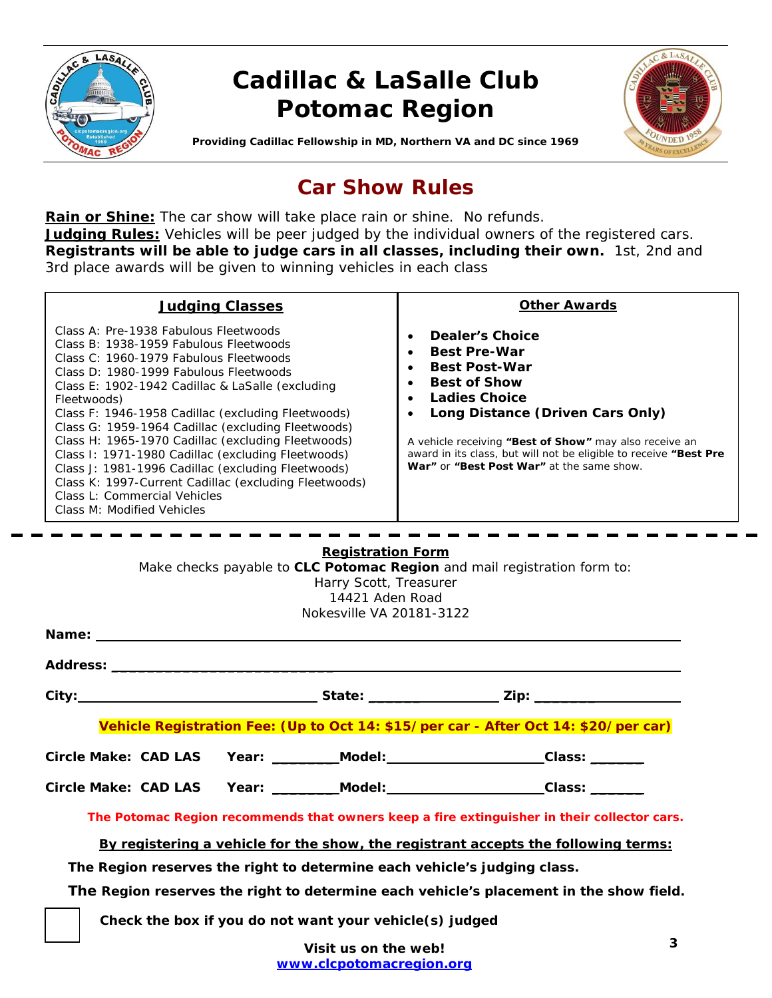



*Providing Cadillac Fellowship in MD, Northern VA and DC since 1969*

## *Car Show Rules*

**Rain or Shine:** The car show will take place rain or shine. No refunds. **Judging Rules:** Vehicles will be peer judged by the individual owners of the registered cars. **Registrants will be able to judge cars in all classes, including their own.** 1st, 2nd and 3rd place awards will be given to winning vehicles in each class

#### **Judging Classes** Class A: Pre-1938 Fabulous Fleetwoods Class B: 1938-1959 Fabulous Fleetwoods Class C: 1960-1979 Fabulous Fleetwoods Class D: 1980-1999 Fabulous Fleetwoods Class E: 1902-1942 Cadillac & LaSalle (excluding Fleetwoods) Class F: 1946-1958 Cadillac (excluding Fleetwoods) Class G: 1959-1964 Cadillac (excluding Fleetwoods) Class H: 1965-1970 Cadillac (excluding Fleetwoods) Class I: 1971-1980 Cadillac (excluding Fleetwoods) Class J: 1981-1996 Cadillac (excluding Fleetwoods) Class K: 1997-Current Cadillac (excluding Fleetwoods) Class L: Commercial Vehicles Class M: Modified Vehicles **Other Awards** • **Dealer's Choice**  • **Best Pre-War**  • **Best Post-War**  • **Best of Show**  • **Ladies Choice**  • **Long Distance (Driven Cars Only)**  A vehicle receiving **"Best of Show"** may also receive an award in its class, but will not be eligible to receive **"Best Pre War"** or **"Best Post War"** at the same show.

#### **Registration Form**

| Make checks payable to CLC Potomac Region and mail registration form to:<br>Harry Scott, Treasurer<br>14421 Aden Road<br>Nokesville VA 20181-3122 |  |  |                                                                                                                                                                                                                                                                                                                     |                                                                                                     |   |  |
|---------------------------------------------------------------------------------------------------------------------------------------------------|--|--|---------------------------------------------------------------------------------------------------------------------------------------------------------------------------------------------------------------------------------------------------------------------------------------------------------------------|-----------------------------------------------------------------------------------------------------|---|--|
|                                                                                                                                                   |  |  |                                                                                                                                                                                                                                                                                                                     |                                                                                                     |   |  |
|                                                                                                                                                   |  |  |                                                                                                                                                                                                                                                                                                                     |                                                                                                     |   |  |
|                                                                                                                                                   |  |  |                                                                                                                                                                                                                                                                                                                     | City:___________________________________State: _____________________Zip: __________________________ |   |  |
|                                                                                                                                                   |  |  |                                                                                                                                                                                                                                                                                                                     | Vehicle Registration Fee: (Up to Oct 14: \$15/per car - After Oct 14: \$20/per car)                 |   |  |
|                                                                                                                                                   |  |  |                                                                                                                                                                                                                                                                                                                     | Circle Make: CAD LAS Year: ________Model:_______________________Class: ________                     |   |  |
| Circle Make: CAD LAS                                                                                                                              |  |  |                                                                                                                                                                                                                                                                                                                     | Year: _________Model: __________________________Class: _______                                      |   |  |
|                                                                                                                                                   |  |  |                                                                                                                                                                                                                                                                                                                     | The Potomac Region recommends that owners keep a fire extinguisher in their collector cars.         |   |  |
|                                                                                                                                                   |  |  |                                                                                                                                                                                                                                                                                                                     | By registering a vehicle for the show, the registrant accepts the following terms:                  |   |  |
|                                                                                                                                                   |  |  |                                                                                                                                                                                                                                                                                                                     | The Region reserves the right to determine each vehicle's judging class.                            |   |  |
|                                                                                                                                                   |  |  |                                                                                                                                                                                                                                                                                                                     | The Region reserves the right to determine each vehicle's placement in the show field.              |   |  |
|                                                                                                                                                   |  |  | Check the box if you do not want your vehicle(s) judged                                                                                                                                                                                                                                                             |                                                                                                     |   |  |
|                                                                                                                                                   |  |  | $\frac{1}{2}$ $\frac{1}{2}$ $\frac{1}{2}$ $\frac{1}{2}$ $\frac{1}{2}$ $\frac{1}{2}$ $\frac{1}{2}$ $\frac{1}{2}$ $\frac{1}{2}$ $\frac{1}{2}$ $\frac{1}{2}$ $\frac{1}{2}$ $\frac{1}{2}$ $\frac{1}{2}$ $\frac{1}{2}$ $\frac{1}{2}$ $\frac{1}{2}$ $\frac{1}{2}$ $\frac{1}{2}$ $\frac{1}{2}$ $\frac{1}{2}$ $\frac{1}{2}$ |                                                                                                     | 3 |  |